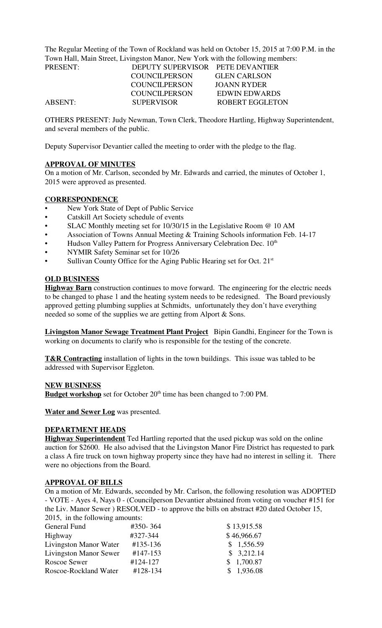The Regular Meeting of the Town of Rockland was held on October 15, 2015 at 7:00 P.M. in the Town Hall, Main Street, Livingston Manor, New York with the following members:

| DEPUTY SUPERVISOR PETE DEVANTIER |                      |
|----------------------------------|----------------------|
| COUNCIL PERSON                   | <b>GLEN CARLSON</b>  |
| <b>COUNCILPERSON</b>             | JOANN RYDER          |
| COUNCIL PERSON                   | <b>EDWIN EDWARDS</b> |
| <b>SUPERVISOR</b>                | ROBERT EGGLETON      |
|                                  |                      |

OTHERS PRESENT: Judy Newman, Town Clerk, Theodore Hartling, Highway Superintendent, and several members of the public.

Deputy Supervisor Devantier called the meeting to order with the pledge to the flag.

### **APPROVAL OF MINUTES**

On a motion of Mr. Carlson, seconded by Mr. Edwards and carried, the minutes of October 1, 2015 were approved as presented.

### **CORRESPONDENCE**

- New York State of Dept of Public Service
- Catskill Art Society schedule of events
- SLAC Monthly meeting set for 10/30/15 in the Legislative Room @ 10 AM
- Association of Towns Annual Meeting & Training Schools information Feb. 14-17
- Hudson Valley Pattern for Progress Anniversary Celebration Dec. 10<sup>th</sup>
- NYMIR Safety Seminar set for 10/26
- Sullivan County Office for the Aging Public Hearing set for Oct.  $21<sup>st</sup>$

#### **OLD BUSINESS**

**Highway Barn** construction continues to move forward. The engineering for the electric needs to be changed to phase 1 and the heating system needs to be redesigned. The Board previously approved getting plumbing supplies at Schmidts, unfortunately they don't have everything needed so some of the supplies we are getting from Alport & Sons.

**Livingston Manor Sewage Treatment Plant Project** Bipin Gandhi, Engineer for the Town is working on documents to clarify who is responsible for the testing of the concrete.

**T&R Contracting** installation of lights in the town buildings. This issue was tabled to be addressed with Supervisor Eggleton.

#### **NEW BUSINESS**

**Budget workshop** set for October 20<sup>th</sup> time has been changed to 7:00 PM.

**Water and Sewer Log** was presented.

#### **DEPARTMENT HEADS**

**Highway Superintendent** Ted Hartling reported that the used pickup was sold on the online auction for \$2600. He also advised that the Livingston Manor Fire District has requested to park a class A fire truck on town highway property since they have had no interest in selling it. There were no objections from the Board.

#### **APPROVAL OF BILLS**

On a motion of Mr. Edwards, seconded by Mr. Carlson, the following resolution was ADOPTED - VOTE - Ayes 4, Nays 0 - (Councilperson Devantier abstained from voting on voucher #151 for the Liv. Manor Sewer ) RESOLVED - to approve the bills on abstract #20 dated October 15, 2015, in the following amounts:

| General Fund                  | #350-364 | \$13,915.58 |
|-------------------------------|----------|-------------|
| Highway                       | #327-344 | \$46,966.67 |
| Livingston Manor Water        | #135-136 | \$1,556.59  |
| <b>Livingston Manor Sewer</b> | #147-153 | \$3,212.14  |
| Roscoe Sewer                  | #124-127 | \$1,700.87  |
| Roscoe-Rockland Water         | #128-134 | \$1,936.08  |
|                               |          |             |